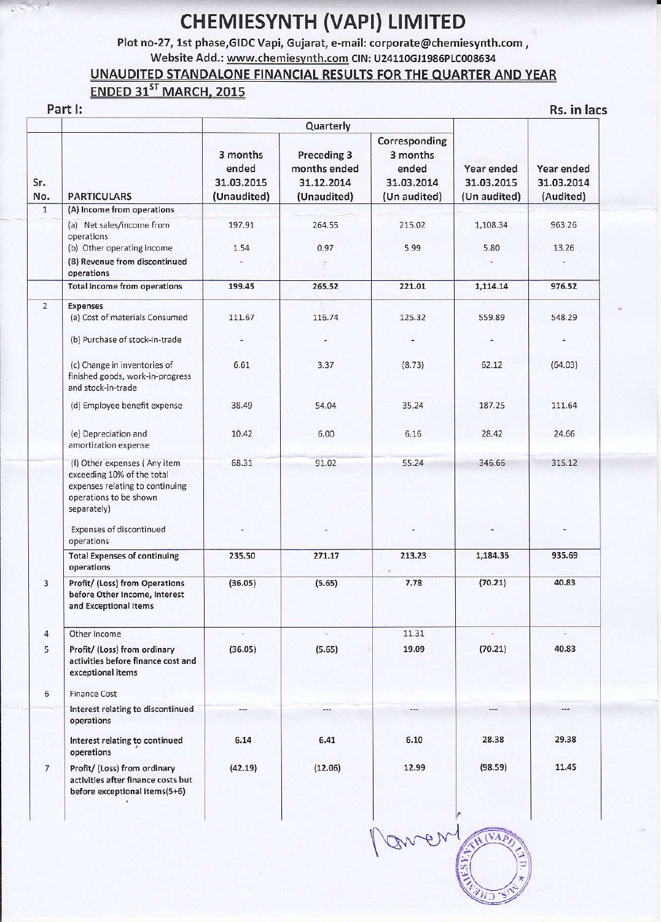## **CHEMIESYNTH (VAPI) LIMITED**

Plot no-27, 1st phase, GIDC Vapi, Gujarat, e-mail: corporate@chemiesynth.com, Website Add.: www.chemiesynth.com CIN: U24110GJ1986PLC008634

## UNAUDITED STANDALONE FINANCIAL RESULTS FOR THE QUARTER AND YEAR ENDED 31ST MARCH, 2015

## Part I:

Rs. in lacs

|                 |                                                                                                                                        |                                                | Quarterly                                                |                                                                  |                                          |                                       |
|-----------------|----------------------------------------------------------------------------------------------------------------------------------------|------------------------------------------------|----------------------------------------------------------|------------------------------------------------------------------|------------------------------------------|---------------------------------------|
| Sr.<br>No.      | <b>PARTICULARS</b>                                                                                                                     | 3 months<br>ended<br>31.03.2015<br>(Unaudited) | Preceding 3<br>months ended<br>31.12.2014<br>(Unaudited) | Corresponding<br>3 months<br>ended<br>31.03.2014<br>(Un audited) | Year ended<br>31.03.2015<br>(Un audited) | Year ended<br>31.03.2014<br>(Audited) |
| $\overline{1}$  | (A) Income from operations                                                                                                             |                                                |                                                          |                                                                  |                                          |                                       |
|                 | (a) Net sales/income from<br>operations<br>(b) Other operating income<br>(B) Revenue from discontinued                                 | 197.91<br>1.54                                 | 264.55<br>0.97                                           | 215.02<br>5.99                                                   | 1,108.34<br>5.80                         | 963.26<br>13.26                       |
|                 | operations                                                                                                                             |                                                |                                                          |                                                                  |                                          |                                       |
|                 | <b>Total income from operations</b>                                                                                                    | 199.45                                         | 265.52                                                   | 221.01                                                           | 1,114.14                                 | 976.52                                |
| $\overline{2}$  | <b>Expenses</b><br>(a) Cost of materials Consumed                                                                                      | 111.67                                         | 116.74                                                   | 125.32                                                           | 559.89                                   | 548.29                                |
|                 | (b) Purchase of stock-in-trade                                                                                                         |                                                |                                                          |                                                                  |                                          |                                       |
|                 | (c) Change in inventories of<br>finished goods, work-in-progress<br>and stock-in-trade                                                 | 6.61                                           | 3.37                                                     | (8.73)                                                           | 62.12                                    | (64.03)                               |
|                 | (d) Employee benefit expense                                                                                                           | 38.49                                          | 54.04                                                    | 35.24                                                            | 187.25                                   | 111.64                                |
|                 | (e) Depreciation and<br>amortization expense                                                                                           | 10.42                                          | 6.00                                                     | 6.16                                                             | 28.42                                    | 24.66                                 |
|                 | (f) Other expenses (Any item<br>exceeding 10% of the total<br>expenses relating to continuing<br>operations to be shown<br>separately) | 68.31                                          | 91.02                                                    | 55.24                                                            | 346.66                                   | 315.12                                |
|                 | Expenses of discontinued<br>operations                                                                                                 |                                                |                                                          |                                                                  |                                          |                                       |
|                 | <b>Total Expenses of continuing</b><br>operations                                                                                      | 235.50                                         | 271.17                                                   | 213.23                                                           | 1,184.35                                 | 935.69                                |
| 3               | Profit/ (Loss) from Operations<br>before Other Income, Interest<br>and Exceptional Items                                               | (36.05)                                        | (5.65)                                                   | 7.78                                                             | (70.21)                                  | 40.83                                 |
| $\overline{4}$  | Other Income                                                                                                                           |                                                | ÷.                                                       | 11.31                                                            |                                          |                                       |
| 5               | Profit/ (Loss) from ordinary<br>activities before finance cost and<br>exceptional items                                                | (36.05)                                        | (5.65)                                                   | 19.09                                                            | (70.21)                                  | 40.83                                 |
| 6               | <b>Finance Cost</b>                                                                                                                    |                                                |                                                          |                                                                  |                                          |                                       |
|                 | Interest relating to discontinued<br>operations                                                                                        |                                                |                                                          |                                                                  |                                          |                                       |
|                 | Interest relating to continued<br>operations                                                                                           | 6.14                                           | 6.41                                                     | 6.10                                                             | 28.38                                    | 29.38                                 |
| $7\phantom{.0}$ | Profit/ (Loss) from ordinary<br>activities after finance costs but<br>before exceptional items(5+6)<br>$\bullet$                       | (42.19)                                        | (12.06)                                                  | 12.99                                                            | (98.59)                                  | 11.45                                 |

Moment  $(\overline{VA})$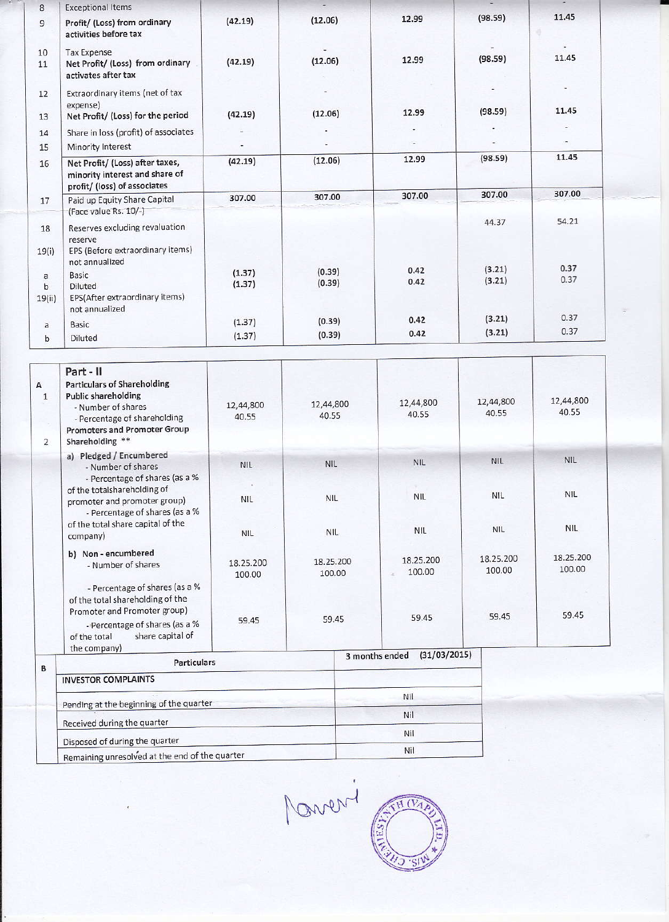| 8                          | <b>Exceptional Items</b>                                                                                                 |                  | ÷.               |              |                  |              |  |
|----------------------------|--------------------------------------------------------------------------------------------------------------------------|------------------|------------------|--------------|------------------|--------------|--|
| 9                          | Profit/ (Loss) from ordinary<br>activities before tax                                                                    | (42.19)          | (12.06)          | 12.99        | (98.59)          | 11.45        |  |
| 10<br>11                   | <b>Tax Expense</b><br>Net Profit/ (Loss) from ordinary<br>activates after tax                                            | (42.19)          | (12.06)          | 12.99        | (98.59)          | 11.45        |  |
| 12                         | Extraordinary items (net of tax<br>expense)                                                                              |                  |                  |              |                  |              |  |
| 13                         | Net Profit/ (Loss) for the period                                                                                        | (42.19)          | (12.06)          | 12.99        | (98.59)          | 11.45        |  |
| 14                         | Share in loss (profit) of associates                                                                                     |                  |                  |              |                  |              |  |
| 15                         | Minority Interest                                                                                                        |                  |                  |              |                  |              |  |
| 16                         | Net Profit/ (Loss) after taxes,<br>minority interest and share of<br>profit/ (loss) of associates                        | (42.19)          | (12.06)          | 12.99        | (98.59)          | 11.45        |  |
| 17                         | Paid up Equity Share Capital                                                                                             | 307.00           | 307.00           | 307.00       | 307.00           | 307.00       |  |
| 18<br>19(i)                | (Face value Rs. 10/-)<br>Reserves excluding revaluation<br>reserve<br>EPS (Before extraordinary items)<br>not annualized |                  |                  |              | 44.37            | 54.21        |  |
| a<br>$\mathbf b$<br>19(ii) | Basic<br>Diluted<br>EPS(After extraordinary items)<br>not annualized                                                     | (1.37)<br>(1.37) | (0.39)<br>(0.39) | 0.42<br>0.42 | (3.21)<br>(3.21) | 0.37<br>0.37 |  |
| a                          | Basic                                                                                                                    | (1.37)           | (0.39)           | 0.42         | (3.21)           | 0.37         |  |
| þ                          | Diluted                                                                                                                  | (1.37)           | (0.39)           | 0.42         | (3.21)           | 0.37         |  |

| A<br>$\mathbf{1}$<br>$\overline{2}$ | Part - II<br><b>Particulars of Shareholding</b><br><b>Public shareholding</b><br>- Number of shares<br>- Percentage of shareholding<br>Promoters and Promoter Group<br>Shareholding **  | 12,44,800<br>40.55       | 12,44,800<br>40.55       | 12,44,800<br>40.55       | 12,44,800<br>40.55       | 12,44,800<br>40.55       |
|-------------------------------------|-----------------------------------------------------------------------------------------------------------------------------------------------------------------------------------------|--------------------------|--------------------------|--------------------------|--------------------------|--------------------------|
|                                     | a) Pledged / Encumbered<br>- Number of shares                                                                                                                                           | <b>NIL</b>               | <b>NIL</b>               | <b>NIL</b>               | <b>NIL</b>               | <b>NIL</b>               |
|                                     | - Percentage of shares (as a %<br>of the totalshareholding of<br>promoter and promoter group)<br>- Percentage of shares (as a %<br>of the total share capital of the<br>company)        | <b>NIL</b><br><b>NIL</b> | <b>NIL</b><br><b>NIL</b> | <b>NIL</b><br><b>NIL</b> | <b>NIL</b><br><b>NIL</b> | <b>NIL</b><br><b>NIL</b> |
|                                     | b) Non - encumbered<br>- Number of shares                                                                                                                                               | 18.25.200<br>100.00      | 18.25.200<br>100.00      | 18.25.200<br>100.00<br>s | 18.25.200<br>100.00      | 18.25.200<br>100.00      |
|                                     | - Percentage of shares (as a %<br>of the total shareholding of the<br>Promoter and Promoter group)<br>-Percentage of shares (as a %<br>share capital of<br>of the total<br>the company) | 59.45                    | 59.45                    | 59.45<br>(31/03/2015)    | 59.45                    | 59.45                    |
| B                                   | <b>Particulars</b>                                                                                                                                                                      |                          |                          | 3 months ended           |                          |                          |
|                                     | <b>INVESTOR COMPLAINTS</b>                                                                                                                                                              |                          |                          |                          |                          |                          |
|                                     | Pending at the beginning of the quarter                                                                                                                                                 |                          |                          | Nil                      |                          |                          |
|                                     | Received during the quarter                                                                                                                                                             |                          |                          | Nil                      |                          |                          |
|                                     | Disposed of during the quarter                                                                                                                                                          |                          |                          | Nil                      |                          |                          |

Remaining unresolved at the end of the quarter

Moneri

Nil

 $\widehat{\mathrm{H}(\mathrm{V}_A)}$ 

J 'S